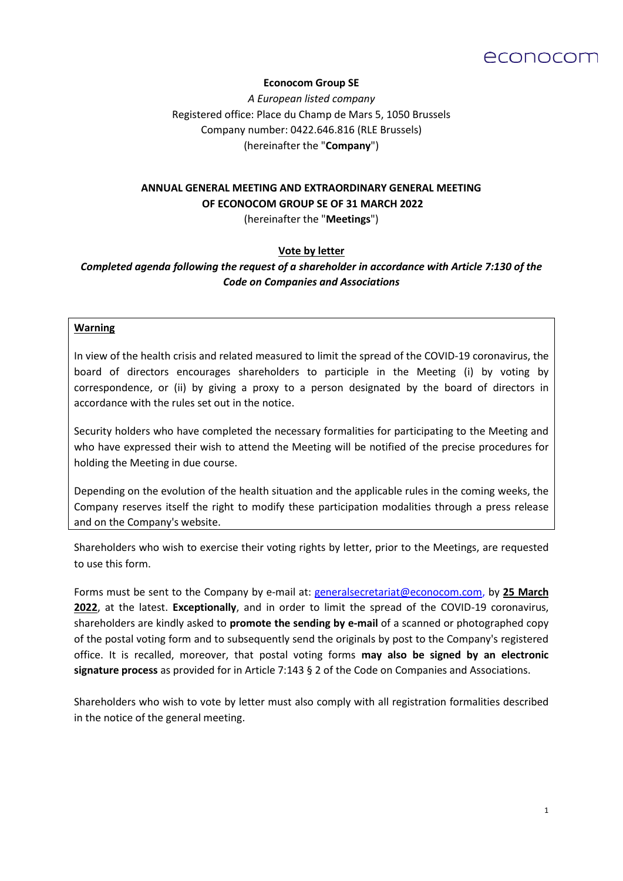

### **Econocom Group SE**

*A European listed company*  Registered office: Place du Champ de Mars 5, 1050 Brussels Company number: 0422.646.816 (RLE Brussels) (hereinafter the "**Company**")

# **ANNUAL GENERAL MEETING AND EXTRAORDINARY GENERAL MEETING OF ECONOCOM GROUP SE OF 31 MARCH 2022**

(hereinafter the "**Meetings**")

### **Vote by letter**

*Completed agenda following the request of a shareholder in accordance with Article 7:130 of the Code on Companies and Associations*

#### **Warning**

In view of the health crisis and related measured to limit the spread of the COVID-19 coronavirus, the board of directors encourages shareholders to participle in the Meeting (i) by voting by correspondence, or (ii) by giving a proxy to a person designated by the board of directors in accordance with the rules set out in the notice.

Security holders who have completed the necessary formalities for participating to the Meeting and who have expressed their wish to attend the Meeting will be notified of the precise procedures for holding the Meeting in due course.

Depending on the evolution of the health situation and the applicable rules in the coming weeks, the Company reserves itself the right to modify these participation modalities through a press release and on the Company's website.

Shareholders who wish to exercise their voting rights by letter, prior to the Meetings, are requested to use this form.

Forms must be sent to the Company by e-mail at: [generalsecretariat@econocom.com,](mailto:generalsecretariat@econocom.com) by **25 March 2022**, at the latest. **Exceptionally**, and in order to limit the spread of the COVID-19 coronavirus, shareholders are kindly asked to **promote the sending by e-mail** of a scanned or photographed copy of the postal voting form and to subsequently send the originals by post to the Company's registered office. It is recalled, moreover, that postal voting forms **may also be signed by an electronic signature process** as provided for in Article 7:143 § 2 of the Code on Companies and Associations.

Shareholders who wish to vote by letter must also comply with all registration formalities described in the notice of the general meeting.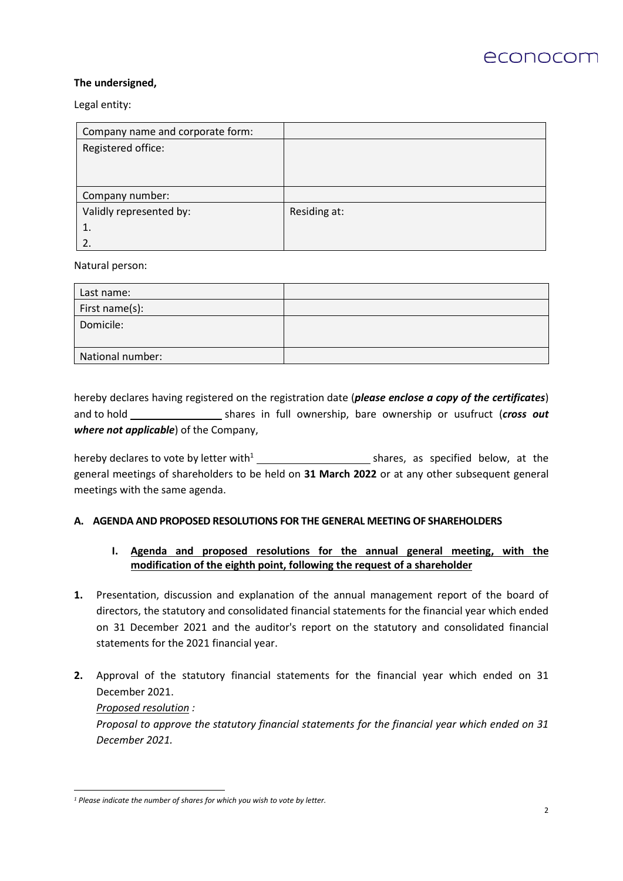

### **The undersigned,**

Legal entity:

| Company name and corporate form: |              |
|----------------------------------|--------------|
| Registered office:               |              |
|                                  |              |
|                                  |              |
| Company number:                  |              |
| Validly represented by:          | Residing at: |
| 1.                               |              |
|                                  |              |

Natural person:

| Last name:       |  |
|------------------|--|
| First name(s):   |  |
| Domicile:        |  |
| National number: |  |

hereby declares having registered on the registration date (*please enclose a copy of the certificates*) and to hold shares in full ownership, bare ownership or usufruct (*cross out*  $\frac{d}{dx}$ *where not applicable*) of the Company,

hereby declares to vote by letter with<sup>1</sup> shares, as specified below, at the general meetings of shareholders to be held on **31 March 2022** or at any other subsequent general meetings with the same agenda.

### **A. AGENDA AND PROPOSED RESOLUTIONS FOR THE GENERAL MEETING OF SHAREHOLDERS**

### **I. Agenda and proposed resolutions for the annual general meeting, with the modification of the eighth point, following the request of a shareholder**

- **1.** Presentation, discussion and explanation of the annual management report of the board of directors, the statutory and consolidated financial statements for the financial year which ended on 31 December 2021 and the auditor's report on the statutory and consolidated financial statements for the 2021 financial year.
- **2.** Approval of the statutory financial statements for the financial year which ended on 31 December 2021. *Proposed resolution : Proposal to approve the statutory financial statements for the financial year which ended on 31 December 2021.*

*<sup>1</sup> Please indicate the number of shares for which you wish to vote by letter.*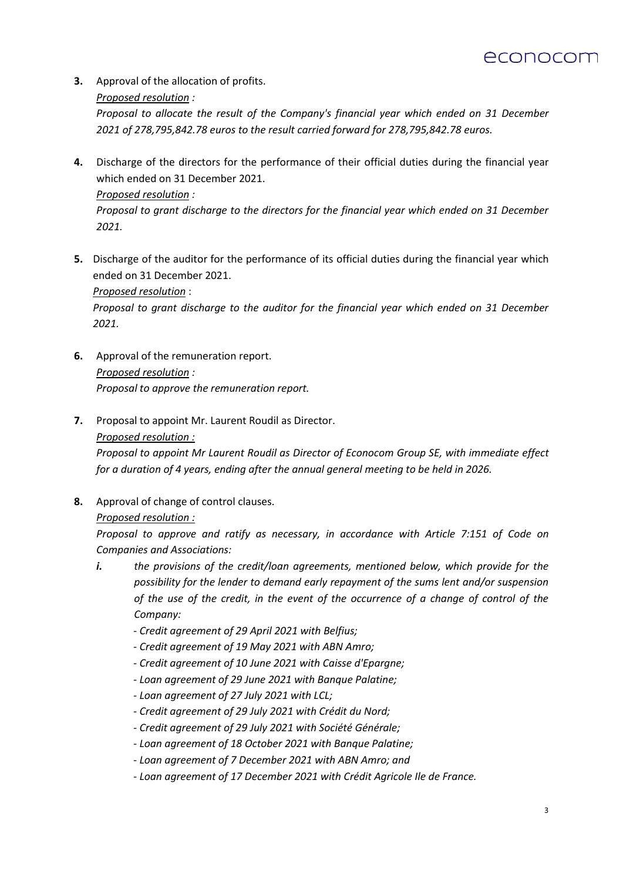

**3.** Approval of the allocation of profits. *Proposed resolution :*

> *Proposal to allocate the result of the Company's financial year which ended on 31 December 2021 of 278,795,842.78 euros to the result carried forward for 278,795,842.78 euros.*

- **4.** Discharge of the directors for the performance of their official duties during the financial year which ended on 31 December 2021. *Proposed resolution : Proposal to grant discharge to the directors for the financial year which ended on 31 December 2021.*
- **5.** Discharge of the auditor for the performance of its official duties during the financial year which ended on 31 December 2021.

*Proposed resolution* :

*Proposal to grant discharge to the auditor for the financial year which ended on 31 December 2021.*

- **6.** Approval of the remuneration report. *Proposed resolution : Proposal to approve the remuneration report.*
- **7.** Proposal to appoint Mr. Laurent Roudil as Director.

### *Proposed resolution :*

*Proposal to appoint Mr Laurent Roudil as Director of Econocom Group SE, with immediate effect for a duration of 4 years, ending after the annual general meeting to be held in 2026.*

**8.** Approval of change of control clauses.

### *Proposed resolution :*

*Proposal to approve and ratify as necessary, in accordance with Article 7:151 of Code on Companies and Associations:*

- *i. the provisions of the credit/loan agreements, mentioned below, which provide for the possibility for the lender to demand early repayment of the sums lent and/or suspension of the use of the credit, in the event of the occurrence of a change of control of the Company:*
	- *- Credit agreement of 29 April 2021 with Belfius;*
	- *- Credit agreement of 19 May 2021 with ABN Amro;*
	- *- Credit agreement of 10 June 2021 with Caisse d'Epargne;*
	- *- Loan agreement of 29 June 2021 with Banque Palatine;*
	- *- Loan agreement of 27 July 2021 with LCL;*
	- *- Credit agreement of 29 July 2021 with Crédit du Nord;*
	- *- Credit agreement of 29 July 2021 with Société Générale;*
	- *- Loan agreement of 18 October 2021 with Banque Palatine;*
	- *- Loan agreement of 7 December 2021 with ABN Amro; and*
	- *- Loan agreement of 17 December 2021 with Crédit Agricole Ile de France.*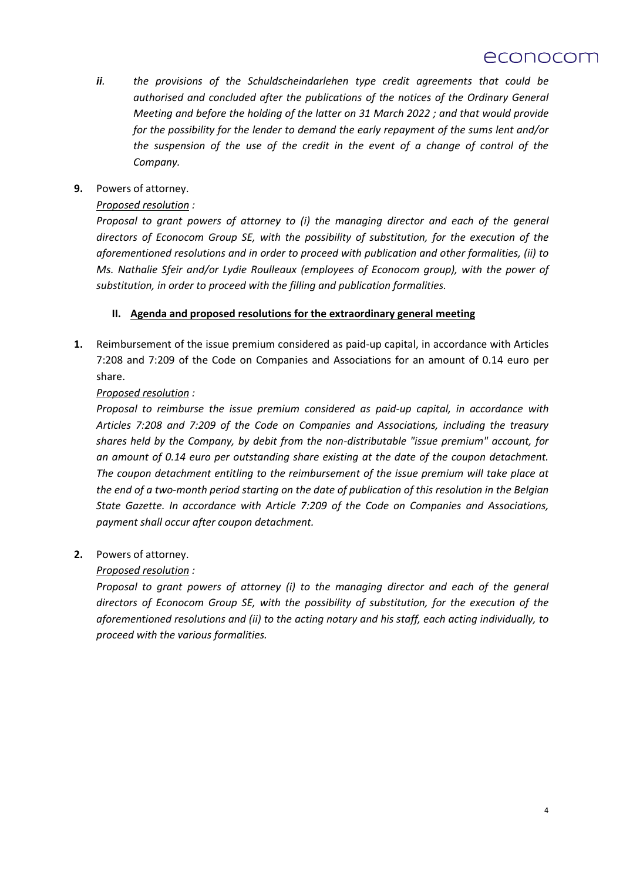# econocom

- *ii. the provisions of the Schuldscheindarlehen type credit agreements that could be authorised and concluded after the publications of the notices of the Ordinary General Meeting and before the holding of the latter on 31 March 2022 ; and that would provide for the possibility for the lender to demand the early repayment of the sums lent and/or the suspension of the use of the credit in the event of a change of control of the Company.*
- **9.** Powers of attorney.

# *Proposed resolution :*

*Proposal to grant powers of attorney to (i) the managing director and each of the general directors of Econocom Group SE, with the possibility of substitution, for the execution of the aforementioned resolutions and in order to proceed with publication and other formalities, (ii) to Ms. Nathalie Sfeir and/or Lydie Roulleaux (employees of Econocom group), with the power of substitution, in order to proceed with the filling and publication formalities.*

### **II. Agenda and proposed resolutions for the extraordinary general meeting**

**1.** Reimbursement of the issue premium considered as paid-up capital, in accordance with Articles 7:208 and 7:209 of the Code on Companies and Associations for an amount of 0.14 euro per share.

# *Proposed resolution :*

*Proposal to reimburse the issue premium considered as paid-up capital, in accordance with Articles 7:208 and 7:209 of the Code on Companies and Associations, including the treasury shares held by the Company, by debit from the non-distributable "issue premium" account, for an amount of 0.14 euro per outstanding share existing at the date of the coupon detachment. The coupon detachment entitling to the reimbursement of the issue premium will take place at the end of a two-month period starting on the date of publication of this resolution in the Belgian State Gazette. In accordance with Article 7:209 of the Code on Companies and Associations, payment shall occur after coupon detachment.*

**2.** Powers of attorney.

# *Proposed resolution :*

*Proposal to grant powers of attorney (i) to the managing director and each of the general directors of Econocom Group SE, with the possibility of substitution, for the execution of the aforementioned resolutions and (ii) to the acting notary and his staff, each acting individually, to proceed with the various formalities.*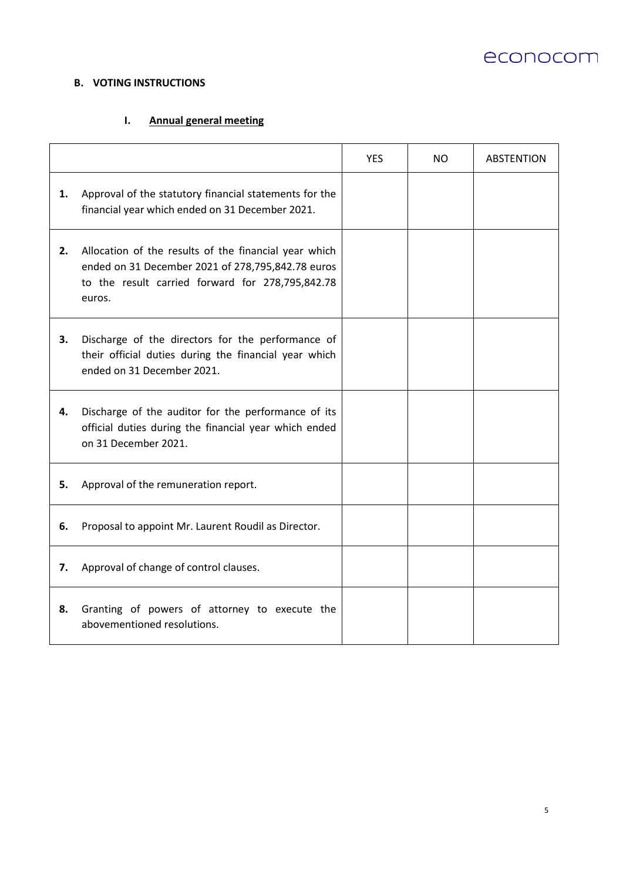

# **B. VOTING INSTRUCTIONS**

# **I. Annual general meeting**

|    |                                                                                                                                                                          | <b>YES</b> | NO. | <b>ABSTENTION</b> |
|----|--------------------------------------------------------------------------------------------------------------------------------------------------------------------------|------------|-----|-------------------|
| 1. | Approval of the statutory financial statements for the<br>financial year which ended on 31 December 2021.                                                                |            |     |                   |
| 2. | Allocation of the results of the financial year which<br>ended on 31 December 2021 of 278,795,842.78 euros<br>to the result carried forward for 278,795,842.78<br>euros. |            |     |                   |
| 3. | Discharge of the directors for the performance of<br>their official duties during the financial year which<br>ended on 31 December 2021.                                 |            |     |                   |
| 4. | Discharge of the auditor for the performance of its<br>official duties during the financial year which ended<br>on 31 December 2021.                                     |            |     |                   |
| 5. | Approval of the remuneration report.                                                                                                                                     |            |     |                   |
| 6. | Proposal to appoint Mr. Laurent Roudil as Director.                                                                                                                      |            |     |                   |
| 7. | Approval of change of control clauses.                                                                                                                                   |            |     |                   |
| 8. | Granting of powers of attorney to execute the<br>abovementioned resolutions.                                                                                             |            |     |                   |